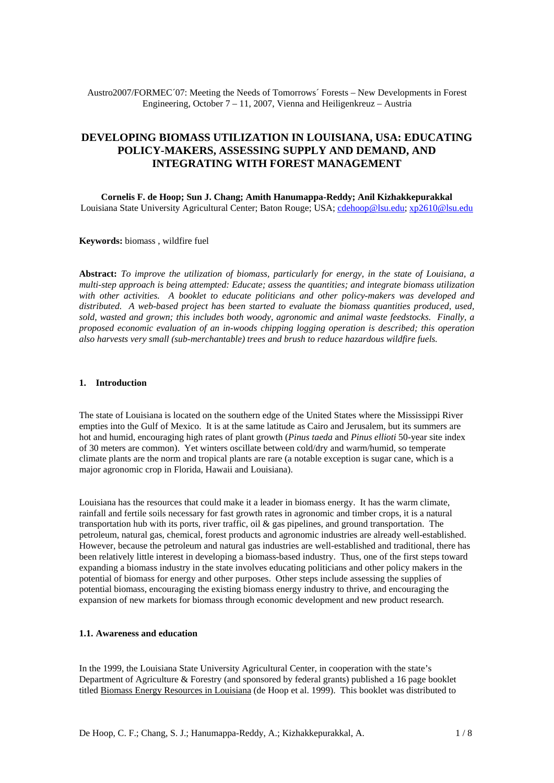Austro2007/FORMEC´07: Meeting the Needs of Tomorrows´ Forests – New Developments in Forest Engineering, October 7 – 11, 2007, Vienna and Heiligenkreuz – Austria

# **DEVELOPING BIOMASS UTILIZATION IN LOUISIANA, USA: EDUCATING POLICY-MAKERS, ASSESSING SUPPLY AND DEMAND, AND INTEGRATING WITH FOREST MANAGEMENT**

**Cornelis F. de Hoop; Sun J. Chang; Amith Hanumappa-Reddy; Anil Kizhakkepurakkal**  Louisiana State University Agricultural Center; Baton Rouge; USA; [cdehoop@lsu.edu;](mailto:cdehoop@lsu.edu) [xp2610@lsu.edu](mailto:xp2610@lsu.edu)

**Keywords:** biomass , wildfire fuel

**Abstract:** *To improve the utilization of biomass, particularly for energy, in the state of Louisiana, a multi-step approach is being attempted: Educate; assess the quantities; and integrate biomass utilization with other activities. A booklet to educate politicians and other policy-makers was developed and distributed. A web-based project has been started to evaluate the biomass quantities produced, used, sold, wasted and grown; this includes both woody, agronomic and animal waste feedstocks. Finally, a proposed economic evaluation of an in-woods chipping logging operation is described; this operation also harvests very small (sub-merchantable) trees and brush to reduce hazardous wildfire fuels.* 

## **1. Introduction**

The state of Louisiana is located on the southern edge of the United States where the Mississippi River empties into the Gulf of Mexico. It is at the same latitude as Cairo and Jerusalem, but its summers are hot and humid, encouraging high rates of plant growth (*Pinus taeda* and *Pinus ellioti* 50-year site index of 30 meters are common). Yet winters oscillate between cold/dry and warm/humid, so temperate climate plants are the norm and tropical plants are rare (a notable exception is sugar cane, which is a major agronomic crop in Florida, Hawaii and Louisiana).

Louisiana has the resources that could make it a leader in biomass energy. It has the warm climate, rainfall and fertile soils necessary for fast growth rates in agronomic and timber crops, it is a natural transportation hub with its ports, river traffic, oil  $\&$  gas pipelines, and ground transportation. The petroleum, natural gas, chemical, forest products and agronomic industries are already well-established. However, because the petroleum and natural gas industries are well-established and traditional, there has been relatively little interest in developing a biomass-based industry. Thus, one of the first steps toward expanding a biomass industry in the state involves educating politicians and other policy makers in the potential of biomass for energy and other purposes. Other steps include assessing the supplies of potential biomass, encouraging the existing biomass energy industry to thrive, and encouraging the expansion of new markets for biomass through economic development and new product research.

## **1.1. Awareness and education**

In the 1999, the Louisiana State University Agricultural Center, in cooperation with the state's Department of Agriculture & Forestry (and sponsored by federal grants) published a 16 page booklet titled Biomass Energy Resources in Louisiana (de Hoop et al. 1999). This booklet was distributed to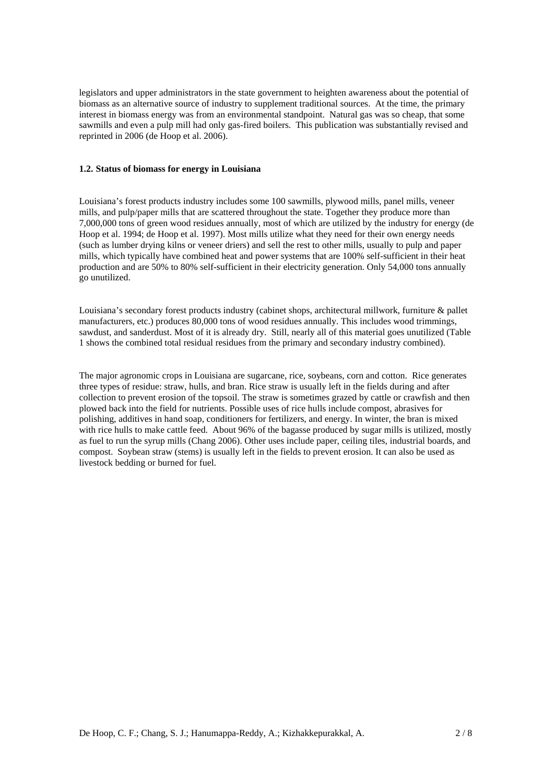legislators and upper administrators in the state government to heighten awareness about the potential of biomass as an alternative source of industry to supplement traditional sources. At the time, the primary interest in biomass energy was from an environmental standpoint. Natural gas was so cheap, that some sawmills and even a pulp mill had only gas-fired boilers. This publication was substantially revised and reprinted in 2006 (de Hoop et al. 2006).

#### **1.2. Status of biomass for energy in Louisiana**

Louisiana's forest products industry includes some 100 sawmills, plywood mills, panel mills, veneer mills, and pulp/paper mills that are scattered throughout the state. Together they produce more than 7,000,000 tons of green wood residues annually, most of which are utilized by the industry for energy (de Hoop et al. 1994; de Hoop et al. 1997). Most mills utilize what they need for their own energy needs (such as lumber drying kilns or veneer driers) and sell the rest to other mills, usually to pulp and paper mills, which typically have combined heat and power systems that are 100% self-sufficient in their heat production and are 50% to 80% self-sufficient in their electricity generation. Only 54,000 tons annually go unutilized.

Louisiana's secondary forest products industry (cabinet shops, architectural millwork, furniture & pallet manufacturers, etc.) produces 80,000 tons of wood residues annually. This includes wood trimmings, sawdust, and sanderdust. Most of it is already dry. Still, nearly all of this material goes unutilized (Table 1 shows the combined total residual residues from the primary and secondary industry combined).

The major agronomic crops in Louisiana are sugarcane, rice, soybeans, corn and cotton. Rice generates three types of residue: straw, hulls, and bran. Rice straw is usually left in the fields during and after collection to prevent erosion of the topsoil. The straw is sometimes grazed by cattle or crawfish and then plowed back into the field for nutrients. Possible uses of rice hulls include compost, abrasives for polishing, additives in hand soap, conditioners for fertilizers, and energy. In winter, the bran is mixed with rice hulls to make cattle feed. About 96% of the bagasse produced by sugar mills is utilized, mostly as fuel to run the syrup mills (Chang 2006). Other uses include paper, ceiling tiles, industrial boards, and compost. Soybean straw (stems) is usually left in the fields to prevent erosion. It can also be used as livestock bedding or burned for fuel.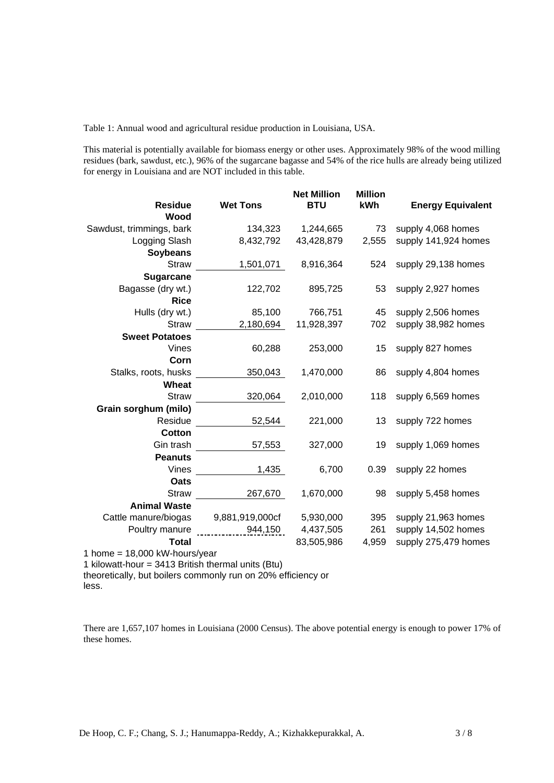Table 1: Annual wood and agricultural residue production in Louisiana, USA.

This material is potentially available for biomass energy or other uses. Approximately 98% of the wood milling residues (bark, sawdust, etc.), 96% of the sugarcane bagasse and 54% of the rice hulls are already being utilized for energy in Louisiana and are NOT included in this table.

| <b>Residue</b><br>Wood                     | <b>Wet Tons</b> | <b>Net Million</b><br><b>BTU</b> | <b>Million</b><br>kWh | <b>Energy Equivalent</b> |
|--------------------------------------------|-----------------|----------------------------------|-----------------------|--------------------------|
| Sawdust, trimmings, bark                   | 134,323         | 1,244,665                        | 73                    | supply 4,068 homes       |
| Logging Slash                              | 8,432,792       | 43,428,879                       | 2,555                 | supply 141,924 homes     |
| <b>Soybeans</b>                            |                 |                                  |                       |                          |
| <b>Straw</b>                               | 1,501,071       | 8,916,364                        | 524                   | supply 29,138 homes      |
| <b>Sugarcane</b>                           |                 |                                  |                       |                          |
| Bagasse (dry wt.)                          | 122,702         | 895,725                          | 53                    | supply 2,927 homes       |
| <b>Rice</b>                                |                 |                                  |                       |                          |
| Hulls (dry wt.)                            | 85,100          | 766,751                          | 45                    | supply 2,506 homes       |
| <b>Straw</b>                               | 2,180,694       | 11,928,397                       | 702                   | supply 38,982 homes      |
| <b>Sweet Potatoes</b>                      |                 |                                  |                       |                          |
| <b>Vines</b>                               | 60,288          | 253,000                          | 15                    | supply 827 homes         |
| Corn                                       |                 |                                  |                       |                          |
| Stalks, roots, husks                       | 350,043         | 1,470,000                        | 86                    | supply 4,804 homes       |
| Wheat                                      |                 |                                  |                       |                          |
| <b>Straw</b>                               | 320,064         | 2,010,000                        | 118                   | supply 6,569 homes       |
| Grain sorghum (milo)                       |                 |                                  |                       |                          |
| Residue                                    | 52,544          | 221,000                          | 13                    | supply 722 homes         |
| <b>Cotton</b>                              |                 |                                  |                       |                          |
| Gin trash                                  | 57,553          | 327,000                          | 19                    | supply 1,069 homes       |
| <b>Peanuts</b>                             |                 |                                  |                       |                          |
| Vines                                      | 1,435           | 6,700                            | 0.39                  | supply 22 homes          |
| Oats                                       |                 |                                  |                       |                          |
| <b>Straw</b>                               | 267,670         | 1,670,000                        | 98                    | supply 5,458 homes       |
| <b>Animal Waste</b>                        |                 |                                  |                       |                          |
| Cattle manure/biogas                       | 9,881,919,000cf | 5,930,000                        | 395                   | supply 21,963 homes      |
| Poultry manure                             | 944,150         | 4,437,505                        | 261                   | supply 14,502 homes      |
| <b>Total</b>                               |                 | 83,505,986                       | 4,959                 | supply 275,479 homes     |
| $19.000 \text{ kM}$ hourchings<br>$1$ home |                 |                                  |                       |                          |

1 home  $= 18,000$  kW-hours/year

1 kilowatt-hour = 3413 British thermal units (Btu)

theoretically, but boilers commonly run on 20% efficiency or less.

There are 1,657,107 homes in Louisiana (2000 Census). The above potential energy is enough to power 17% of these homes.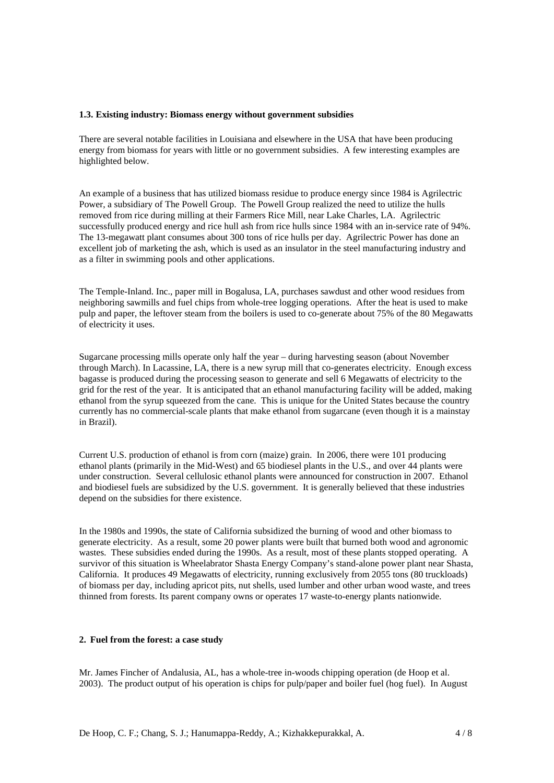### **1.3. Existing industry: Biomass energy without government subsidies**

There are several notable facilities in Louisiana and elsewhere in the USA that have been producing energy from biomass for years with little or no government subsidies. A few interesting examples are highlighted below.

An example of a business that has utilized biomass residue to produce energy since 1984 is Agrilectric Power, a subsidiary of The Powell Group. The Powell Group realized the need to utilize the hulls removed from rice during milling at their Farmers Rice Mill, near Lake Charles, LA. Agrilectric successfully produced energy and rice hull ash from rice hulls since 1984 with an in-service rate of 94%. The 13-megawatt plant consumes about 300 tons of rice hulls per day. Agrilectric Power has done an excellent job of marketing the ash, which is used as an insulator in the steel manufacturing industry and as a filter in swimming pools and other applications.

The Temple-Inland. Inc., paper mill in Bogalusa, LA, purchases sawdust and other wood residues from neighboring sawmills and fuel chips from whole-tree logging operations. After the heat is used to make pulp and paper, the leftover steam from the boilers is used to co-generate about 75% of the 80 Megawatts of electricity it uses.

Sugarcane processing mills operate only half the year – during harvesting season (about November through March). In Lacassine, LA, there is a new syrup mill that co-generates electricity. Enough excess bagasse is produced during the processing season to generate and sell 6 Megawatts of electricity to the grid for the rest of the year. It is anticipated that an ethanol manufacturing facility will be added, making ethanol from the syrup squeezed from the cane. This is unique for the United States because the country currently has no commercial-scale plants that make ethanol from sugarcane (even though it is a mainstay in Brazil).

Current U.S. production of ethanol is from corn (maize) grain. In 2006, there were 101 producing ethanol plants (primarily in the Mid-West) and 65 biodiesel plants in the U.S., and over 44 plants were under construction. Several cellulosic ethanol plants were announced for construction in 2007. Ethanol and biodiesel fuels are subsidized by the U.S. government. It is generally believed that these industries depend on the subsidies for there existence.

In the 1980s and 1990s, the state of California subsidized the burning of wood and other biomass to generate electricity. As a result, some 20 power plants were built that burned both wood and agronomic wastes. These subsidies ended during the 1990s. As a result, most of these plants stopped operating. A survivor of this situation is Wheelabrator Shasta Energy Company's stand-alone power plant near Shasta, California. It produces 49 Megawatts of electricity, running exclusively from 2055 tons (80 truckloads) of biomass per day, including apricot pits, nut shells, used lumber and other urban wood waste, and trees thinned from forests. Its parent company owns or operates 17 waste-to-energy plants nationwide.

## **2. Fuel from the forest: a case study**

Mr. James Fincher of Andalusia, AL, has a whole-tree in-woods chipping operation (de Hoop et al. 2003). The product output of his operation is chips for pulp/paper and boiler fuel (hog fuel). In August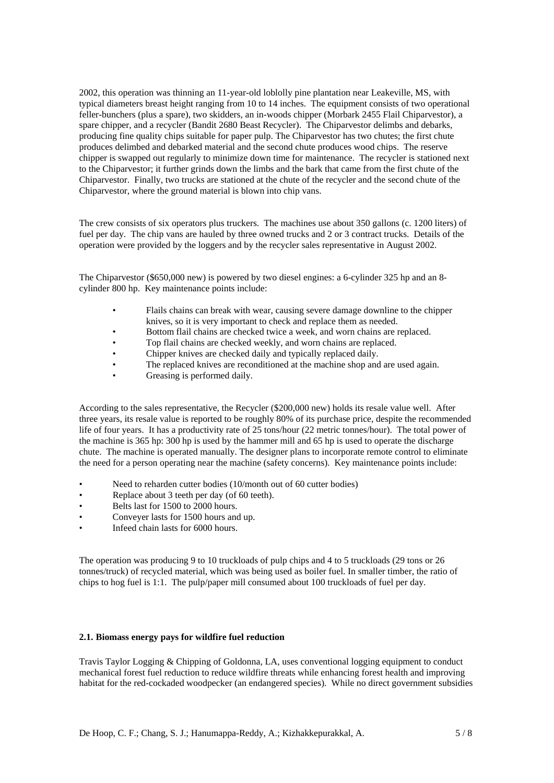2002, this operation was thinning an 11-year-old loblolly pine plantation near Leakeville, MS, with typical diameters breast height ranging from 10 to 14 inches. The equipment consists of two operational feller-bunchers (plus a spare), two skidders, an in-woods chipper (Morbark 2455 Flail Chiparvestor), a spare chipper, and a recycler (Bandit 2680 Beast Recycler). The Chiparvestor delimbs and debarks, producing fine quality chips suitable for paper pulp. The Chiparvestor has two chutes; the first chute produces delimbed and debarked material and the second chute produces wood chips. The reserve chipper is swapped out regularly to minimize down time for maintenance. The recycler is stationed next to the Chiparvestor; it further grinds down the limbs and the bark that came from the first chute of the Chiparvestor. Finally, two trucks are stationed at the chute of the recycler and the second chute of the Chiparvestor, where the ground material is blown into chip vans.

The crew consists of six operators plus truckers. The machines use about 350 gallons (c. 1200 liters) of fuel per day. The chip vans are hauled by three owned trucks and 2 or 3 contract trucks. Details of the operation were provided by the loggers and by the recycler sales representative in August 2002.

The Chiparvestor (\$650,000 new) is powered by two diesel engines: a 6-cylinder 325 hp and an 8 cylinder 800 hp. Key maintenance points include:

- Flails chains can break with wear, causing severe damage downline to the chipper knives, so it is very important to check and replace them as needed.
- Bottom flail chains are checked twice a week, and worn chains are replaced.
- Top flail chains are checked weekly, and worn chains are replaced.
- Chipper knives are checked daily and typically replaced daily.
- The replaced knives are reconditioned at the machine shop and are used again.
- Greasing is performed daily.

According to the sales representative, the Recycler (\$200,000 new) holds its resale value well. After three years, its resale value is reported to be roughly 80% of its purchase price, despite the recommended life of four years. It has a productivity rate of 25 tons/hour (22 metric tonnes/hour). The total power of the machine is 365 hp: 300 hp is used by the hammer mill and 65 hp is used to operate the discharge chute. The machine is operated manually. The designer plans to incorporate remote control to eliminate the need for a person operating near the machine (safety concerns). Key maintenance points include:

- Need to reharden cutter bodies (10/month out of 60 cutter bodies)
- Replace about 3 teeth per day (of 60 teeth).
- Belts last for 1500 to 2000 hours.
- Conveyer lasts for 1500 hours and up.
- Infeed chain lasts for 6000 hours.

The operation was producing 9 to 10 truckloads of pulp chips and 4 to 5 truckloads (29 tons or 26 tonnes/truck) of recycled material, which was being used as boiler fuel. In smaller timber, the ratio of chips to hog fuel is 1:1. The pulp/paper mill consumed about 100 truckloads of fuel per day.

## **2.1. Biomass energy pays for wildfire fuel reduction**

Travis Taylor Logging & Chipping of Goldonna, LA, uses conventional logging equipment to conduct mechanical forest fuel reduction to reduce wildfire threats while enhancing forest health and improving habitat for the red-cockaded woodpecker (an endangered species). While no direct government subsidies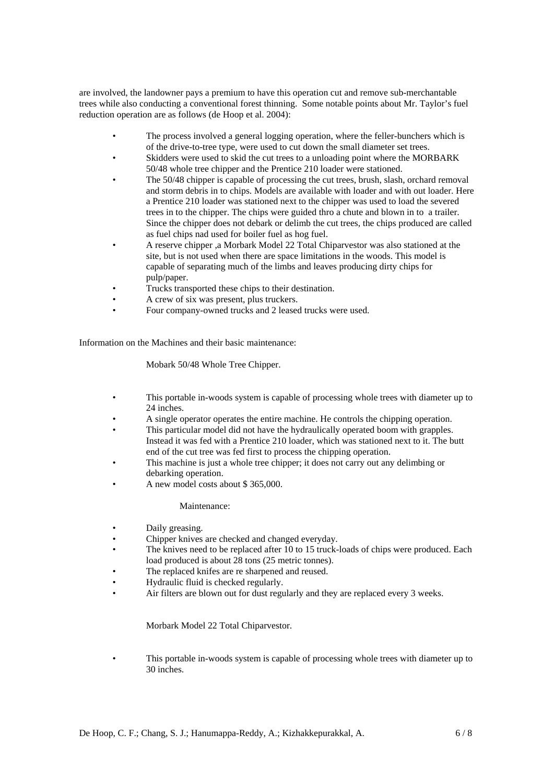are involved, the landowner pays a premium to have this operation cut and remove sub-merchantable trees while also conducting a conventional forest thinning. Some notable points about Mr. Taylor's fuel reduction operation are as follows (de Hoop et al. 2004):

- The process involved a general logging operation, where the feller-bunchers which is of the drive-to-tree type, were used to cut down the small diameter set trees.
- Skidders were used to skid the cut trees to a unloading point where the MORBARK 50/48 whole tree chipper and the Prentice 210 loader were stationed.
- The 50/48 chipper is capable of processing the cut trees, brush, slash, orchard removal and storm debris in to chips. Models are available with loader and with out loader. Here a Prentice 210 loader was stationed next to the chipper was used to load the severed trees in to the chipper. The chips were guided thro a chute and blown in to a trailer. Since the chipper does not debark or delimb the cut trees, the chips produced are called as fuel chips nad used for boiler fuel as hog fuel.
- A reserve chipper ,a Morbark Model 22 Total Chiparvestor was also stationed at the site, but is not used when there are space limitations in the woods. This model is capable of separating much of the limbs and leaves producing dirty chips for pulp/paper.
- Trucks transported these chips to their destination.
- A crew of six was present, plus truckers.
- Four company-owned trucks and 2 leased trucks were used.

Information on the Machines and their basic maintenance:

Mobark 50/48 Whole Tree Chipper.

- This portable in-woods system is capable of processing whole trees with diameter up to 24 inches.
- A single operator operates the entire machine. He controls the chipping operation.
- This particular model did not have the hydraulically operated boom with grapples. Instead it was fed with a Prentice 210 loader, which was stationed next to it. The butt end of the cut tree was fed first to process the chipping operation.
- This machine is just a whole tree chipper; it does not carry out any delimbing or debarking operation.
- A new model costs about \$ 365,000.

Maintenance:

- Daily greasing.
- Chipper knives are checked and changed everyday.
- The knives need to be replaced after 10 to 15 truck-loads of chips were produced. Each load produced is about 28 tons (25 metric tonnes).
- The replaced knifes are re sharpened and reused.
- Hydraulic fluid is checked regularly.
- Air filters are blown out for dust regularly and they are replaced every 3 weeks.

Morbark Model 22 Total Chiparvestor.

This portable in-woods system is capable of processing whole trees with diameter up to 30 inches.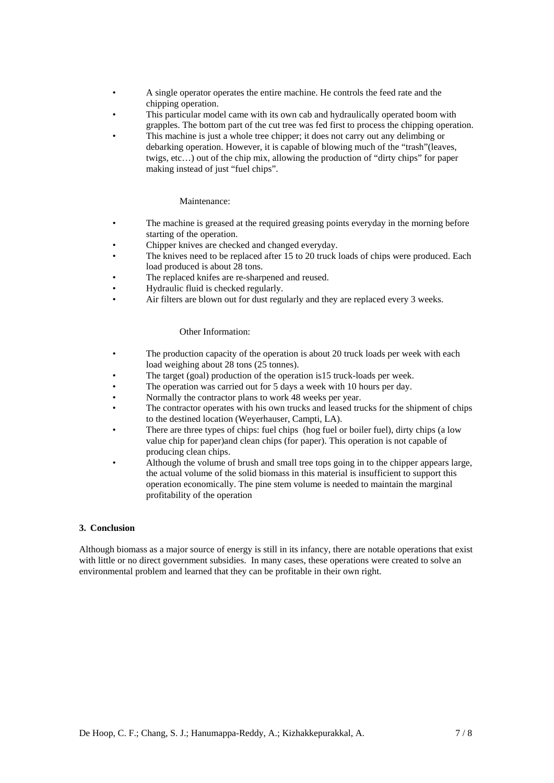- A single operator operates the entire machine. He controls the feed rate and the chipping operation.
- This particular model came with its own cab and hydraulically operated boom with grapples. The bottom part of the cut tree was fed first to process the chipping operation.
- This machine is just a whole tree chipper; it does not carry out any delimbing or debarking operation. However, it is capable of blowing much of the "trash"(leaves, twigs, etc…) out of the chip mix, allowing the production of "dirty chips" for paper making instead of just "fuel chips".

## Maintenance:

- The machine is greased at the required greasing points everyday in the morning before starting of the operation.
- Chipper knives are checked and changed everyday.
- The knives need to be replaced after 15 to 20 truck loads of chips were produced. Each load produced is about 28 tons.
- The replaced knifes are re-sharpened and reused.
- Hydraulic fluid is checked regularly.
- Air filters are blown out for dust regularly and they are replaced every 3 weeks.

#### Other Information:

- The production capacity of the operation is about 20 truck loads per week with each load weighing about 28 tons (25 tonnes).
- The target (goal) production of the operation is 15 truck-loads per week.
- The operation was carried out for 5 days a week with 10 hours per day.
- Normally the contractor plans to work 48 weeks per year.
- The contractor operates with his own trucks and leased trucks for the shipment of chips to the destined location (Weyerhauser, Campti, LA).
- There are three types of chips: fuel chips (hog fuel or boiler fuel), dirty chips (a low value chip for paper)and clean chips (for paper). This operation is not capable of producing clean chips.
- Although the volume of brush and small tree tops going in to the chipper appears large, the actual volume of the solid biomass in this material is insufficient to support this operation economically. The pine stem volume is needed to maintain the marginal profitability of the operation

### **3. Conclusion**

Although biomass as a major source of energy is still in its infancy, there are notable operations that exist with little or no direct government subsidies. In many cases, these operations were created to solve an environmental problem and learned that they can be profitable in their own right.